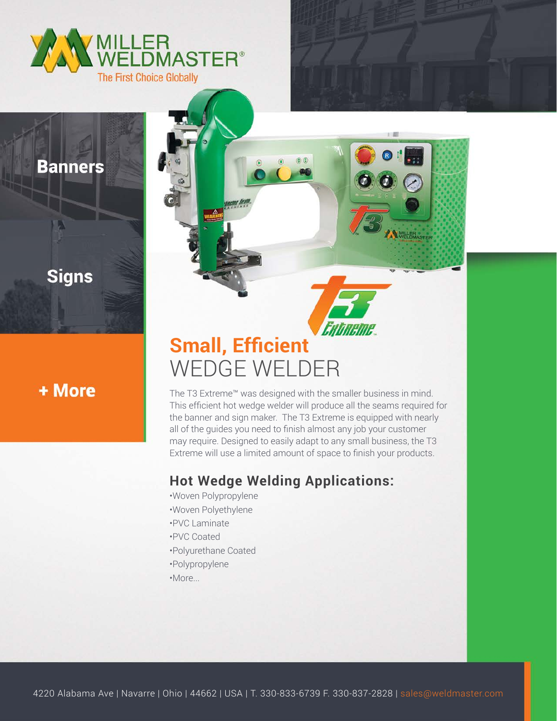

#### **Banners**

## **Signs**

### + More

**ENDREINE Small, Efficient** WEDGE WELDER

The T3 Extreme™ was designed with the smaller business in mind. This efficient hot wedge welder will produce all the seams required for the banner and sign maker. The T3 Extreme is equipped with nearly all of the guides you need to finish almost any job your customer may require. Designed to easily adapt to any small business, the T3 Extreme will use a limited amount of space to finish your products.

 $(2)$ 

WELERASTER

#### **Hot Wedge Welding Applications:**

•Woven Polypropylene •Woven Polyethylene •PVC Laminate •PVC Coated •Polyurethane Coated •Polypropylene •More...

4220 Alabama Ave | Navarre | Ohio | 44662 | USA | T. 330-833-6739 F. 330-837-2828 | sales@weldmaster.com